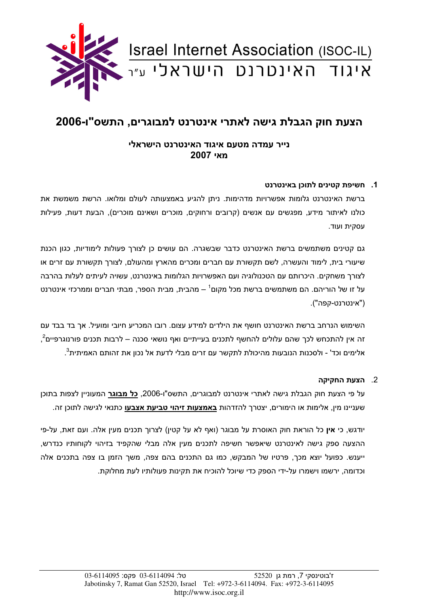

# הצעת חוק הגבלת גישה לאתרי אינטרנט למבוגרים, התשס"ו-2006

## נייר עמדה מטעם איגוד האינטרנט הישראלי 2007 **מאי**

### 1. חשיפת קטינים לתוכן באינטרנט

ברשת האינטרנט גלומות אפשרויות מדהימות. ניתן להגיע באמצעותה לעולם ומלואו. הרשת משמשת את כולנו לאיתור מידע. מפגשים עם אנשים (קרובים ורחוקים, מוכרים ושאינם מוכרים), הבעת דעות. פעילות עסקית ועוד.

גם קטינים משתמשים ברשת האינטרנט כדבר שבשגרה. הם עושים כן לצורך פעולות לימודיות, כגון הכנת שיעורי בית, לימוד והעשרה, לשם תקשורת עם חברים ומכרים מהארץ ומהעולם, לצורך תקשורת עם זרים או לצורך משחקים. היכרותם עם הטכנולוגיה ועם האפשרויות הגלומות באינטרנט, עשויה לעיתים לעלות בהרבה על זו של הוריהם. הם משתמשים ברשת מכל מקום<sup>ו</sup> – מהבית. מבית הספר. מבתי חברים וממרכזי אינטרנט ("אינטרנט-קפה").

השימוש הנרחב ברשת האינטרנט חושף את הילדים למידע עצום. רובו המכריע חיובי ומועיל. אך בד בבד עם זה אין להתכחש לכך שהם עלולים להחשף לתכנים בעייתיים ואף נושאי סכנה – לרבות תכנים פורנוגרפיים<sup>2</sup>,  $\cdot^3$ אלימים וכד' - ולסכנות הנובעות מהיכולת לתקשר עם זרים מבלי לדעת אל נכון את זהותם האמיתית

#### 2. הצעת החקיקה

על פי הצעת חוק הגבלת גישה לאתרי אינטרנט למבוגרים, התשס"ו-2006. **כל מבוגר** המעוניין לצפות בתוכן שעניינו מין, אלימות או הימורים, יצטרך להזדהות <u>באמצעות זיהוי טביעת אצבעו</u> כתנאי לגישה לתוכן זה.

יודגש, כי **אין** כל הוראת חוק האוסרת על מבוגר (ואף לא על קטין) לצרוך תכנים מעין אלה. ועם זאת, על-פי ההצעה ספק גישה לאינטרנט שיאפשר חשיפה לתכנים מעין אלה מבלי שהקפיד בזיהוי לקוחותיו כנדרש, ייענש. כפועל יוצא מכך, פרטיו של המבקש, כמו גם התכנים בהם צפה, משך הזמן בו צפה בתכנים אלה וכדומה, ירשמו וישמרו על-ידי הספק כדי שיוכל להוכיח את תקינות פעולותיו לעת מחלוקת.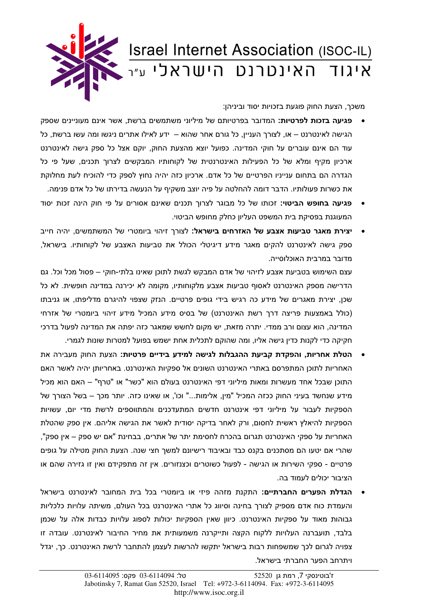

משכך, הצעת החוק פוגעת בזכויות יסוד וביניהן:

- פגיעה בזכות לפרטיות: המדובר בפרטיותם של מיליוני משתמשים ברשת, אשר אינם מעוניינים שספק הגישה לאינטרנט – או, לצורך העניין, כל גורם אחר שהוא – ידע לאילו אתרים ניגשו ומה עשו ברשת, כל עוד הם אינם עוברים על חוקי המדינה. כפועל יוצא מהצעת החוק, יוקם אצל כל ספק גישה לאינטרנט ארכיון מקיף ומלא של כל הפעילות האינטרנטית של לקוחותיו המבקשים לצרוך תכנים, שעל פי כל הגדרה הם בתחום ענייניו הפרטיים של כל אדם. ארכיון כזה יהיה נחוץ לספק כדי להוכיח לעת מחלוקת את כשרות פעולותיו. הדבר דומה להחלטה על פיה יוצב משקיף על הנעשה בדירתו של כל אדם פנימה.
- **פגיעה בחופש הביטוי:** זכותו של כל מבוגר לצרוך תכנים שאינם אסורים על פי חוק הינה זכות יסוד המעוגנת בפסיקת בית המשפט העליון כחלק מחופש הביטוי.
- **יצירת מאגר טביעות אצבע של האזרחים בישראל:** לצורך זיהוי ביומטרי של המשתמשים, יהיה חייב ספק גישה לאינטרנט להקים מאגר מידע דיגיטלי הכולל את טביעות האצבע של לקוחותיו. בישראל, מדובר במרבית האוכלוסייה.

עצם השימוש בטביעת אצבע לזיהוי של אדם המבקש לגשת לתוכן שאינו בלתי-חוקי – פסול מכל וכל. גם הדרישה מספק האינטרנט לאסוף טביעות אצבע מלקוחותיו, מקומה לא יכירנה במדינה חופשית. לא כל שכן, יצירת מאגרים של מידע כה רגיש בידי גופים פרטיים. הנזק שצפוי להיגרם מדליפתו, או גניבתו (כולל באמצעות פריצה דרך רשת האינטרנט) של בסיס מידע המכיל מידע זיהוי ביומטרי של אזרחי המדינה, הוא עצום ורב ממדי. יתרה מזאת, יש מקום לחשש שמאגר כזה יפתה את המדינה לפעול בדרכי חקיקה כדי לקנות כדין גישה אליו, ומה שהוקם לתכלית אחת ישמש בפועל למטרות שונות לגמרי.

- הטלת אחריות, והפקדת קביעת ההגבלות לגישה למידע בידיים פרטיות: הצעת החוק מעבירה את האחריות לתוכו המתפרסם באתרי האינטרנט השונים אל ספקיות האינטרנט. באחריותו יהיה לאשר האם התוכן שבכל אחד מעשרות ומאות מיליוני דפי האינטרנט בעולם הוא "כשר" או "טרף" – האם הוא מכיל מידע שנחשד בעיני החוק ככזה המכיל "מין, אלימות..." וכו', או שאינו כזה. יותר מכך – בשל הצורך של הספקיות לעבור על מיליוני דפי אינטרנט חדשים המתעדכנים והמתווספים לרשת מדי יום, עשויות הספקיות להיאלץ ראשית לחסום, ורק לאחר בדיקה יסודית לאשר את הגישה אליהם. אין ספק שהטלת האחריות על ספקי האינטרנט תגרום בהכרח לחסימת יתר של אתרים, בבחינת "אם יש ספק – אין ספק", שהרי אם יטעו הם מסתכנים בקנס כבד ובאיבוד רישיונם למשך חצי שנה. הצעת החוק מטילה על גופים פרטיים - ספקי השירות או הגישה - לפעול כשוטרים וכצנזורים. אין זה מתפקידם ואין זו גזירה שהם או הציבור יכולים לעמוד בה.
- **הגדלת הפערים החברתיים:** התקנת מזהה פיזי או ביומטרי בכל בית המחובר לאינטרנט בישראל והעמדת כוח אדם מספיק לצורך בחינה וסיווג כל אתרי האינטרנט בכל העולם, משיתה עלויות כלכליות גבוהות מאוד על ספקיות האינטרנט. כיוון שאין הספקיות יכולות לספוג עלויות כבדות אלה על שכמן בלבד, תועברנה העלויות ללקוח הקצה ותייקרנה משמעותית את מחיר החיבור לאינטרנט. עובדה זו צפויה לגרום לכך שמשפחות רבות בישראל יתקשו להרשות לעצמן להתחבר לרשת האינטרנט. כך, יגדל ויתרחב הפער החברתי בישראל.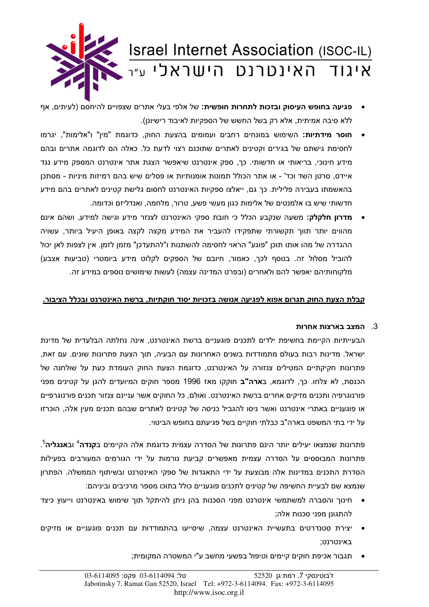

- פגיעה בחופש העיסוק ובזכות לתחרות חופשית: של אלפי בעלי אתרים שצפויים להיחסם (לעיתים, אף ללא סיבה אמיתית, אלא רק בשל החשש של הספקיות לאיבוד רישיונן).
- **חוסר מידתיות:** השימוש במונחים רחבים ועמומים בהצעת החוק, כדוגמת "מין" ו"אלימות", יגרמו לחסימת גישתם של בגירים וקטינים לאתרים שתוכנם רצוי לדעת כל. כאלה הם לדוגמה אתרים ובהם מידע חינוכי, בריאותי או חדשותי. כך, ספק אינטרנט שיאפשר הצגת אתר אינטרנט המספק מידע נגד איידס, סרטן השד וכד' - או אתר הכולל תמונות אומנותיות או פסלים שיש בהם רמיזות מיניות - מסתכן בהאשמתו בעבירה פלילית. כך גם, ייאלצו ספקיות האינטרנט לחסום גלישת קטינים לאתרים בהם מידע חדשותי שיש בו אלמנטים של אלימות כגון מעשי פשע, טרור, מלחמה, ואנדליזם וכדומה.
- **מדרון חלקלק:** משעה שנקבע הכלל כי חובת ספקי האינטרנט לצנזר מידע וגישה למידע. ושהם אינם מהווים יותר תווך תקשורתי שתפקידו להעביר את המידע מקצה לקצה באופן היעיל ביותר, עשויה ההגדרה של מהו אותו תוכן "פוגע" הראוי לחסימה להשתנות ו"להתעדכן" מזמן לזמן. אין לצפות לאן יכול להוביל מסלול זה. בנוסף לכר, כאמור, חיובם של הספקים לקלוט מידע ביומטרי (טביעות אצבע) מלקוחותיהם יאפשר להם ולאחרים (ובפרט המדינה עצמה) לעשות שימושים נוספים במידע זה.

#### קבלת הצעת החוק תגרום אפוא לפגיעה אנושה בזכויות יסוד חוקתיות, ברשת האינטרנט ובכלל הציבור.

#### המצב בארצות אחרות  $3$

הבעייתיות הקיימת בחשיפת ילדים לתכנים פוגעניים ברשת האינטרנט, אינה נחלתה הבלעדית של מדינת ישראל. מדינות רבות בעולם מתמודדות בשנים האחרונות עם הבעיה, תוך הצעת פתרונות שונים. עם זאת, פתרונות חקיקתיים המטילים צנזורה על האינטרנט. כדוגמת הצעת החוק העומדת כעת על שולחנה של הכנסת, לא צלחו. כך, לדוגמא, ב**ארה"ב** חוקקו מאז 1996 מספר חוקים המיועדים להגן על קטינים מפני פורנוגרפיה ותכנים מזיקים אחרים ברשת האינטרנט. ואולם, כל החוקים אשר עניינם צנזור תכנים פורנוגרפיים או פוגעניים באתרי אינטרנט ואשר ניסו להגביל כניסה של קטינים לאתרים שבהם תכנים מעיו אלה. הוכרזו על ידי בתי המשפט בארה"ב כבלתי חוקיים בשל פגיעתם בחופש הביטוי.

פתרונות שנמצאו יעילים יותר הינם פתרונות של הסדרה עצמית כדוגמת אלה הקיימים ב**קנדה<sup>4</sup> ובאנגליה**<sup>5</sup>. פתרונות המבוססים על הסדרה עצמית מאפשרים קביעת נורמות על ידי הגורמים המעורבים בפעילות הסדרת התכנים במדינות אלה מבוצעת על ידי התאגדות של ספקי האינטרנט ובשיתוף הממשלה. הפתרון שנמצא שם לבעיית החשיפה של קטינים לתכנים פוגעניים כולל בתוכו מספר מרכיבים וביניהם:

- חינוך והסברה למשתמשי אינטרנט מפני הסכנות בהן ניתן להיתקל תוך שימוש באינטרנט וייעוץ כיצד  $\bullet$ להתגונו מפני סכנות אלה:
- יצירת סטנדרטים בתעשיית האינטרנט עצמה, שיסייעו בהתמודדות עם תכנים פוגעניים או מזיקים באינטרנט:
	- תגבור אכיפת חוקים קיימים וטיפול בפשעי מחשב ע"י המשטרה המקומית;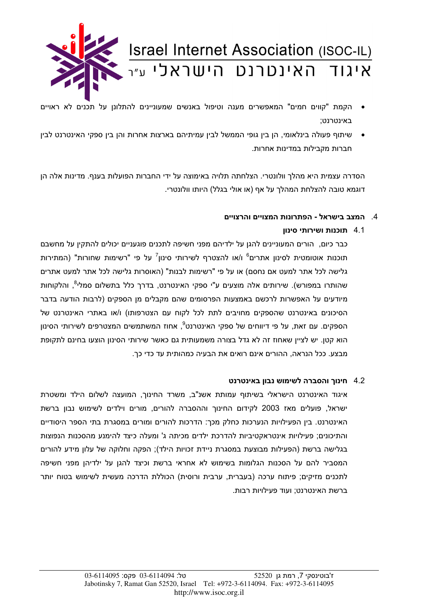

- הקמת "קווים חמים" המאפשרים מענה וטיפול באנשים שמעוניינים להתלונן על תכנים לא ראויים באינטרנט;
- שיתוף פעולה בינלאומי, הן בין גופי הממשל לבין עמיתיהם בארצות אחרות והן בין ספקי האינטרנט לבין חברות מקבילות במדינות אחרות.

הסדרה עצמית היא מהלך וולונטרי. הצלחתה תלויה באימוצה על ידי החברות הפועלות בענף. מדינות אלה הן דוגמא טובה להצלחת המהלר על אף (או אולי בגלל) היותו וולונטרי.

## 4. המצב בישראל - הפתרונות המצויים והרצויים

## 4.1 תוכנות ושירותי סינון

כבר כיום, הורים המעוניינים להגן על ילדיהם מפני חשיפה לתכנים פוגעניים יכולים להתקין על מחשבם תוכנות אוטומטית לסינון אתרים<sup>6</sup> ו/או להצטרף לשירותי סינון<sup>7</sup> על פי "רשימות שחורות" (המתירות גלישה לכל אתר למעט אם נחסם) או על פי "רשימות לבנות" (האוסרות גלישה לכל אתר למעט אתרים שהותרו במפורש). שירותים אלה מוצעים ע"י ספקי האינטרנט, בדרך כלל בתשלום סמלי<sup>8</sup>, והלקוחות מיודעים על האפשרות לרכשם באמצעות הפרסומים שהם מקבלים מן הספקים (לרבות הודעה בדבר הסיכונים באינטרנט שהספקים מחויבים לתת לכל לקוח עם הצטרפותו) ו/או באתרי האינטרנט של הספקים. עם זאת, על פי דיווחים של ספקי האינטרנט<sup>9</sup>, אחוז המשתמשים המצטרפים לשירותי הסינון הוא קטן. יש לציין שאחוז זה לא גדל בצורה משמעותית גם כאשר שירותי הסינון הוצעו בחינם לתקופת מבצע. ככל הנראה, ההורים אינם רואים את הבעיה כמהותית עד כדי כך.

## 4.2 חינוך והסברה לשימוש נבון באינטרנט

איגוד האינטרנט הישראלי בשיתוף עמותת אשנ"ב, משרד החינוך, המועצה לשלום הילד ומשטרת ישראל. פועלים מאז 2003 לקידום החינור וההסברה להורים. מורים וילדים לשימוש נבוו ברשת האינטרנט. בין הפעילויות הנערכות כחלק מכך: הדרכות להורים ומורים במסגרת בתי הספר היסודיים והתיכונים; פעילויות אינטראקטיביות להדרכת ילדים מכיתה ג' ומעלה כיצד להימנע מהסכנות הנפוצות בגלישה ברשת (הפעילות מבוצעת במסגרת ניידת זכויות הילד); הפקה וחלוקה של עלון מידע להורים המסביר להם על הסכנות הגלומות בשימוש לא אחראי ברשת וכיצד להגן על ילדיהן מפני חשיפה לתכנים מזיקים; פיתוח ערכה (בעברית, ערבית ורוסית) הכוללת הדרכה מעשית לשימוש בטוח יותר ברשת האינטרנט; ועוד פעילויות רבות.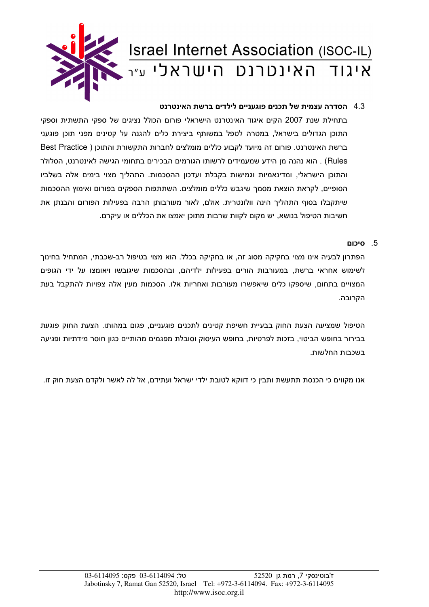

## 4.3 הסדרה עצמית של תכנים פוגעניים לילדים ברשת האינטרנט

בתחילת שנת 2007 הקים איגוד האינטרנט הישראלי פורום הכולל נציגים של ספקי התשתית וספקי התוכן הגדולים בישראל, במטרה לטפל במשותף ביצירת כלים להגנה על קטינים מפני תוכן פוגעני ברשת האינטרנט. פורום זה מיועד לקבוע כללים מומלצים לחברות התקשורת והתוכן ( Best Practice Rules) . הוא נהנה מן הידע שמעמידים לרשותו הגורמים הבכירים בתחומי הגישה לאינטרנט, הסלולר והתוכן הישראלי, ומדינאמיות וגמישות בקבלת ועדכון ההסכמות. התהליך מצוי בימים אלה בשלביו הסופיים, לקראת הוצאת מסמך שיגבש כללים מומלצים. השתתפות הספקים בפורום ואימוץ ההסכמות שיתקבלו בסוף התהליך הינה וולונטרית. אולם, לאור מעורבותן הרבה בפעילות הפורום והבנתן את חשיבות הטיפול בנושא, יש מקום לקוות שרבות מתוכן יאמצו את הכללים או עיקרם.

#### 5. סיכום

הפתרון לבעיה אינו מצוי בחקיקה מסוג זה, או בחקיקה בכלל. הוא מצוי בטיפול רב-שכבתי, המתחיל בחינוך לשימוש אחראי ברשת, במעורבות הורים בפעילות ילדיהם, ובהסכמות שיגובשו ויאומצו על ידי הגופים המצויים בתחום, שיספקו כלים שיאפשרו מעורבות ואחריות אלו. הסכמות מעין אלה צפויות להתקבל בעת הקרובה.

הטיפול שמציעה הצעת החוק בבעיית חשיפת קטינים לתכנים פוגעניים, פגום במהותו. הצעת החוק פוגעת בבירור בחופש הביטוי, בזכות לפרטיות, בחופש העיסוק וסובלת מפגמים מהותיים כגון חוסר מידתיות ופגיעה בשכבות החלשות.

אנו מקווים כי הכנסת תתעשת ותבין כי דווקא לטובת ילדי ישראל ועתידם, אל לה לאשר ולקדם הצעת חוק זו.